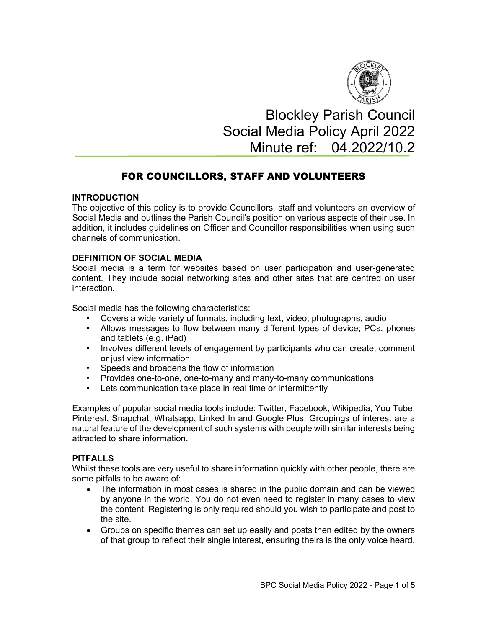

# Blockley Parish Council Social Media Policy April 2022 Minute ref: 04.2022/10.2

# FOR COUNCILLORS, STAFF AND VOLUNTEERS

# **INTRODUCTION**

The objective of this policy is to provide Councillors, staff and volunteers an overview of Social Media and outlines the Parish Council's position on various aspects of their use. In addition, it includes guidelines on Officer and Councillor responsibilities when using such channels of communication.

# **DEFINITION OF SOCIAL MEDIA**

Social media is a term for websites based on user participation and user-generated content. They include social networking sites and other sites that are centred on user interaction.

Social media has the following characteristics:

- Covers a wide variety of formats, including text, video, photographs, audio
- Allows messages to flow between many different types of device; PCs, phones and tablets (e.g. iPad)
- Involves different levels of engagement by participants who can create, comment or just view information
- Speeds and broadens the flow of information
- Provides one-to-one, one-to-many and many-to-many communications
- Lets communication take place in real time or intermittently

Examples of popular social media tools include: Twitter, Facebook, Wikipedia, You Tube, Pinterest, Snapchat, Whatsapp, Linked In and Google Plus. Groupings of interest are a natural feature of the development of such systems with people with similar interests being attracted to share information.

# **PITFALLS**

Whilst these tools are very useful to share information quickly with other people, there are some pitfalls to be aware of:

- The information in most cases is shared in the public domain and can be viewed by anyone in the world. You do not even need to register in many cases to view the content. Registering is only required should you wish to participate and post to the site.
- Groups on specific themes can set up easily and posts then edited by the owners of that group to reflect their single interest, ensuring theirs is the only voice heard.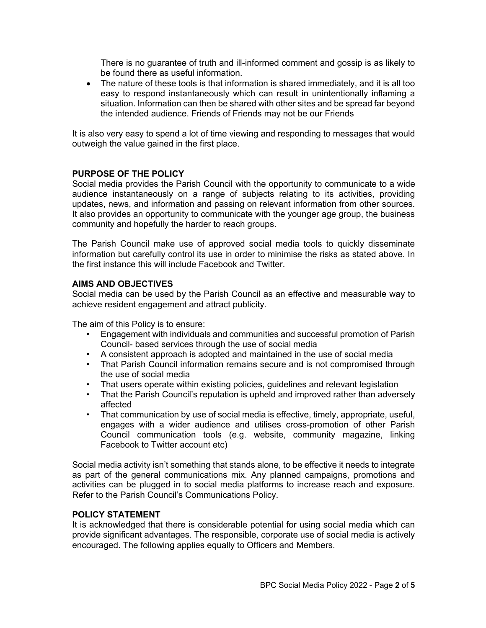There is no guarantee of truth and ill-informed comment and gossip is as likely to be found there as useful information.

• The nature of these tools is that information is shared immediately, and it is all too easy to respond instantaneously which can result in unintentionally inflaming a situation. Information can then be shared with other sites and be spread far beyond the intended audience. Friends of Friends may not be our Friends

It is also very easy to spend a lot of time viewing and responding to messages that would outweigh the value gained in the first place.

#### **PURPOSE OF THE POLICY**

Social media provides the Parish Council with the opportunity to communicate to a wide audience instantaneously on a range of subjects relating to its activities, providing updates, news, and information and passing on relevant information from other sources. It also provides an opportunity to communicate with the younger age group, the business community and hopefully the harder to reach groups.

The Parish Council make use of approved social media tools to quickly disseminate information but carefully control its use in order to minimise the risks as stated above. In the first instance this will include Facebook and Twitter.

#### **AIMS AND OBJECTIVES**

Social media can be used by the Parish Council as an effective and measurable way to achieve resident engagement and attract publicity.

The aim of this Policy is to ensure:

- Engagement with individuals and communities and successful promotion of Parish Council- based services through the use of social media
- A consistent approach is adopted and maintained in the use of social media
- That Parish Council information remains secure and is not compromised through the use of social media
- That users operate within existing policies, guidelines and relevant legislation
- That the Parish Council's reputation is upheld and improved rather than adversely affected
- That communication by use of social media is effective, timely, appropriate, useful, engages with a wider audience and utilises cross-promotion of other Parish Council communication tools (e.g. website, community magazine, linking Facebook to Twitter account etc)

Social media activity isn't something that stands alone, to be effective it needs to integrate as part of the general communications mix. Any planned campaigns, promotions and activities can be plugged in to social media platforms to increase reach and exposure. Refer to the Parish Council's Communications Policy.

#### **POLICY STATEMENT**

It is acknowledged that there is considerable potential for using social media which can provide significant advantages. The responsible, corporate use of social media is actively encouraged. The following applies equally to Officers and Members.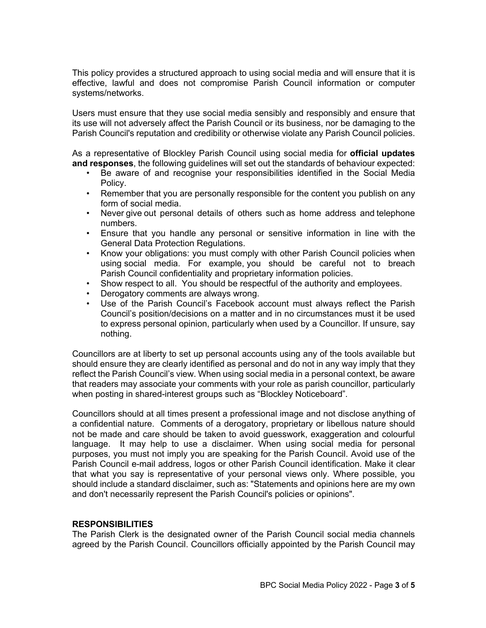This policy provides a structured approach to using social media and will ensure that it is effective, lawful and does not compromise Parish Council information or computer systems/networks.

Users must ensure that they use social media sensibly and responsibly and ensure that its use will not adversely affect the Parish Council or its business, nor be damaging to the Parish Council's reputation and credibility or otherwise violate any Parish Council policies.

As a representative of Blockley Parish Council using social media for **official updates and responses**, the following guidelines will set out the standards of behaviour expected:

- Be aware of and recognise your responsibilities identified in the Social Media Policy.
- Remember that you are personally responsible for the content you publish on any form of social media.
- Never give out personal details of others such as home address and telephone numbers.
- Ensure that you handle any personal or sensitive information in line with the General Data Protection Regulations.
- Know your obligations: you must comply with other Parish Council policies when using social media. For example, you should be careful not to breach Parish Council confidentiality and proprietary information policies.
- Show respect to all. You should be respectful of the authority and employees.
- Derogatory comments are always wrong.
- Use of the Parish Council's Facebook account must always reflect the Parish Council's position/decisions on a matter and in no circumstances must it be used to express personal opinion, particularly when used by a Councillor. If unsure, say nothing.

Councillors are at liberty to set up personal accounts using any of the tools available but should ensure they are clearly identified as personal and do not in any way imply that they reflect the Parish Council's view. When using social media in a personal context, be aware that readers may associate your comments with your role as parish councillor, particularly when posting in shared-interest groups such as "Blockley Noticeboard".

Councillors should at all times present a professional image and not disclose anything of a confidential nature. Comments of a derogatory, proprietary or libellous nature should not be made and care should be taken to avoid guesswork, exaggeration and colourful language. It may help to use a disclaimer. When using social media for personal purposes, you must not imply you are speaking for the Parish Council. Avoid use of the Parish Council e-mail address, logos or other Parish Council identification. Make it clear that what you say is representative of your personal views only. Where possible, you should include a standard disclaimer, such as: "Statements and opinions here are my own and don't necessarily represent the Parish Council's policies or opinions".

#### **RESPONSIBILITIES**

The Parish Clerk is the designated owner of the Parish Council social media channels agreed by the Parish Council. Councillors officially appointed by the Parish Council may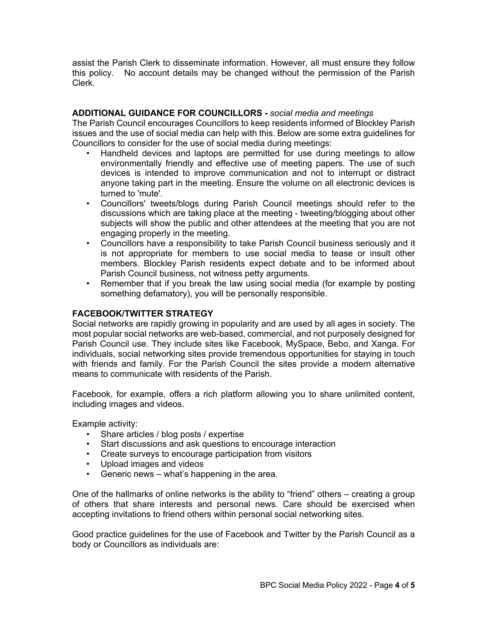assist the Parish Clerk to disseminate information. However, all must ensure they follow this policy. No account details may be changed without the permission of the Parish Clerk.

# **ADDITIONAL GUIDANCE FOR COUNCILLORS -** *social media and meetings*

The Parish Council encourages Councillors to keep residents informed of Blockley Parish issues and the use of social media can help with this. Below are some extra guidelines for Councillors to consider for the use of social media during meetings:

- Handheld devices and laptops are permitted for use during meetings to allow environmentally friendly and effective use of meeting papers. The use of such devices is intended to improve communication and not to interrupt or distract anyone taking part in the meeting. Ensure the volume on all electronic devices is turned to 'mute'.
- Councillors' tweets/blogs during Parish Council meetings should refer to the discussions which are taking place at the meeting - tweeting/blogging about other subjects will show the public and other attendees at the meeting that you are not engaging properly in the meeting.
- Councillors have a responsibility to take Parish Council business seriously and it is not appropriate for members to use social media to tease or insult other members. Blockley Parish residents expect debate and to be informed about Parish Council business, not witness petty arguments.
- Remember that if you break the law using social media (for example by posting something defamatory), you will be personally responsible.

# **FACEBOOK/TWITTER STRATEGY**

Social networks are rapidly growing in popularity and are used by all ages in society. The most popular social networks are web-based, commercial, and not purposely designed for Parish Council use. They include sites like Facebook, MySpace, Bebo, and Xanga. For individuals, social networking sites provide tremendous opportunities for staying in touch with friends and family. For the Parish Council the sites provide a modern alternative means to communicate with residents of the Parish.

Facebook, for example, offers a rich platform allowing you to share unlimited content, including images and videos.

Example activity:

- Share articles / blog posts / expertise
- Start discussions and ask questions to encourage interaction
- Create surveys to encourage participation from visitors
- Upload images and videos
- Generic news what's happening in the area.

One of the hallmarks of online networks is the ability to "friend" others – creating a group of others that share interests and personal news. Care should be exercised when accepting invitations to friend others within personal social networking sites.

Good practice guidelines for the use of Facebook and Twitter by the Parish Council as a body or Councillors as individuals are: